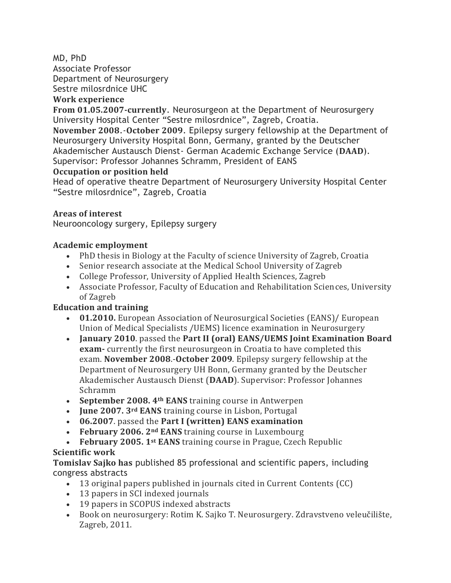### MD, PhD

Associate Professor Department of Neurosurgery Sestre milosrdnice UHC

#### **Work experience**

**From 01.05.2007-currently**. Neurosurgeon at the Department of Neurosurgery University Hospital Center "Sestre milosrdnice", Zagreb, Croatia.

**November 2008**.-**October 2009**. Epilepsy surgery fellowship at the Department of Neurosurgery University Hospital Bonn, Germany, granted by the Deutscher Akademischer Austausch Dienst- German Academic Exchange Service (**DAAD**). Supervisor: Professor Johannes Schramm, President of EANS

### **Occupation or position held**

Head of operative theatre Department of Neurosurgery University Hospital Center "Sestre milosrdnice", Zagreb, Croatia

### **Areas of interest**

Neurooncology surgery, Epilepsy surgery

## **Academic employment**

- PhD thesis in Biology at the Faculty of science University of Zagreb, Croatia
- Senior research associate at the Medical School University of Zagreb
- College Professor, University of Applied Health Sciences, Zagreb
- Associate Professor, Faculty of Education and Rehabilitation Sciences, University of Zagreb

# **Education and training**

- **01.2010.** European Association of Neurosurgical Societies (EANS)/ European Union of Medical Specialists /UEMS) licence examination in Neurosurgery
- **January 2010**. passed the **Part II (oral) EANS/UEMS Joint Examination Board exam-** currently the first neurosurgeon in Croatia to have completed this exam. **November 2008**.-**October 2009**. Epilepsy surgery fellowship at the Department of Neurosurgery UH Bonn, Germany granted by the Deutscher Akademischer Austausch Dienst (**DAAD**). Supervisor: Professor Johannes Schramm
- **September 2008. 4th EANS** training course in Antwerpen
- **June 2007. 3rd EANS** training course in Lisbon, Portugal
- **06.2007**. passed the **Part I (written) EANS examination**
- **February 2006. 2nd EANS** training course in Luxembourg

### • **February 2005. 1st EANS** training course in Prague, Czech Republic **Scientific work**

**Tomislav Sajko has** published 85 professional and scientific papers, including congress abstracts

- 13 original papers published in journals cited in Current Contents (CC)
- 13 papers in SCI indexed journals
- 19 papers in SCOPUS indexed abstracts
- Book on neurosurgery: Rotim K. Sajko T. Neurosurgery. Zdravstveno veleučilište, Zagreb, 2011.